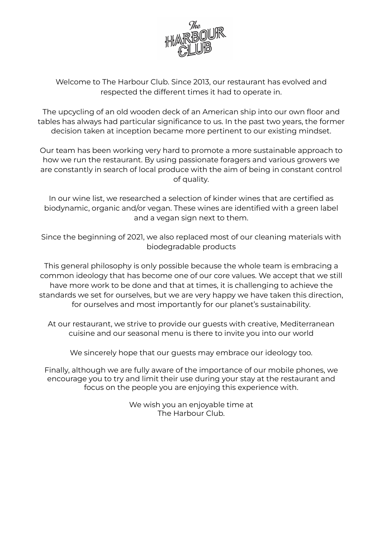

Welcome to The Harbour Club. Since 2013, our restaurant has evolved and respected the different times it had to operate in.

The upcycling of an old wooden deck of an American ship into our own floor and tables has always had particular significance to us. In the past two years, the former decision taken at inception became more pertinent to our existing mindset.

Our team has been working very hard to promote a more sustainable approach to how we run the restaurant. By using passionate foragers and various growers we are constantly in search of local produce with the aim of being in constant control of quality.

In our wine list, we researched a selection of kinder wines that are certified as biodynamic, organic and/or vegan. These wines are identified with a green label and a vegan sign next to them.

Since the beginning of 2021, we also replaced most of our cleaning materials with biodegradable products

This general philosophy is only possible because the whole team is embracing a common ideology that has become one of our core values. We accept that we still have more work to be done and that at times, it is challenging to achieve the standards we set for ourselves, but we are very happy we have taken this direction, for ourselves and most importantly for our planet's sustainability.

At our restaurant, we strive to provide our guests with creative, Mediterranean cuisine and our seasonal menu is there to invite you into our world

We sincerely hope that our guests may embrace our ideology too.

Finally, although we are fully aware of the importance of our mobile phones, we encourage you to try and limit their use during your stay at the restaurant and focus on the people you are enjoying this experience with.

> We wish you an enjoyable time at The Harbour Club.